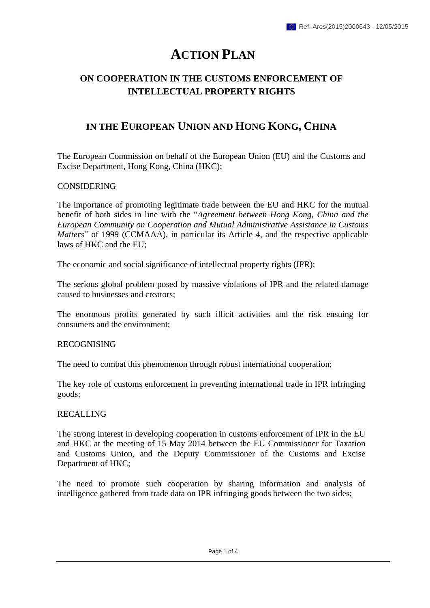# **ACTION PLAN**

## **ON COOPERATION IN THE CUSTOMS ENFORCEMENT OF INTELLECTUAL PROPERTY RIGHTS**

## **IN THE EUROPEAN UNION AND HONG KONG, CHINA**

The European Commission on behalf of the European Union (EU) and the Customs and Excise Department, Hong Kong, China (HKC);

### CONSIDERING

The importance of promoting legitimate trade between the EU and HKC for the mutual benefit of both sides in line with the "*Agreement between Hong Kong, China and the European Community on Cooperation and Mutual Administrative Assistance in Customs Matters*" of 1999 (CCMAAA), in particular its Article 4, and the respective applicable laws of HKC and the EU;

The economic and social significance of intellectual property rights (IPR);

The serious global problem posed by massive violations of IPR and the related damage caused to businesses and creators;

The enormous profits generated by such illicit activities and the risk ensuing for consumers and the environment;

### RECOGNISING

The need to combat this phenomenon through robust international cooperation;

The key role of customs enforcement in preventing international trade in IPR infringing goods;

### RECALLING

The strong interest in developing cooperation in customs enforcement of IPR in the EU and HKC at the meeting of 15 May 2014 between the EU Commissioner for Taxation and Customs Union, and the Deputy Commissioner of the Customs and Excise Department of HKC;

The need to promote such cooperation by sharing information and analysis of intelligence gathered from trade data on IPR infringing goods between the two sides;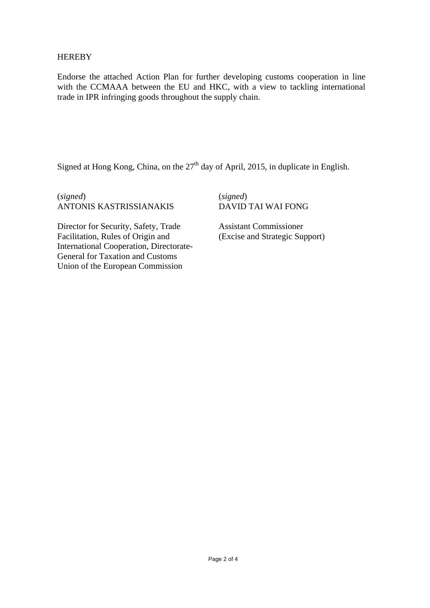### **HEREBY**

Endorse the attached Action Plan for further developing customs cooperation in line with the CCMAAA between the EU and HKC, with a view to tackling international trade in IPR infringing goods throughout the supply chain.

Signed at Hong Kong, China, on the  $27<sup>th</sup>$  day of April, 2015, in duplicate in English.

(*signed*) ANTONIS KASTRISSIANAKIS (*signed*) DAVID TAI WAI FONG

Director for Security, Safety, Trade Facilitation, Rules of Origin and International Cooperation, Directorate-General for Taxation and Customs Union of the European Commission

Assistant Commissioner (Excise and Strategic Support)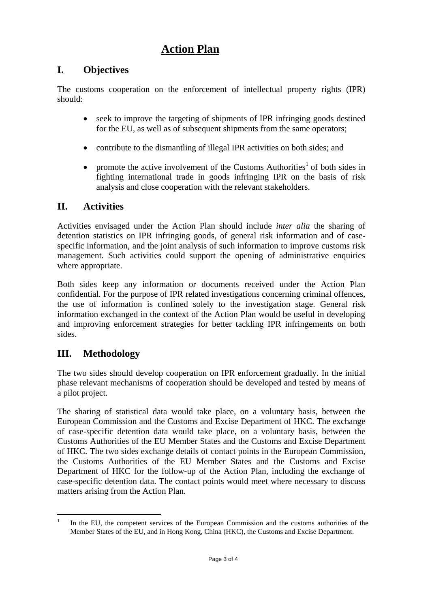## **Action Plan**

## **I. Objectives**

The customs cooperation on the enforcement of intellectual property rights (IPR) should:

- seek to improve the targeting of shipments of IPR infringing goods destined for the EU, as well as of subsequent shipments from the same operators;
- contribute to the dismantling of illegal IPR activities on both sides; and
- promote the active involvement of the Customs Authorities<sup>1</sup> of both sides in fighting international trade in goods infringing IPR on the basis of risk analysis and close cooperation with the relevant stakeholders.

## **II. Activities**

Activities envisaged under the Action Plan should include *inter alia* the sharing of detention statistics on IPR infringing goods, of general risk information and of casespecific information, and the joint analysis of such information to improve customs risk management. Such activities could support the opening of administrative enquiries where appropriate.

Both sides keep any information or documents received under the Action Plan confidential. For the purpose of IPR related investigations concerning criminal offences, the use of information is confined solely to the investigation stage. General risk information exchanged in the context of the Action Plan would be useful in developing and improving enforcement strategies for better tackling IPR infringements on both sides.

## **III. Methodology**

The two sides should develop cooperation on IPR enforcement gradually. In the initial phase relevant mechanisms of cooperation should be developed and tested by means of a pilot project.

The sharing of statistical data would take place, on a voluntary basis, between the European Commission and the Customs and Excise Department of HKC. The exchange of case-specific detention data would take place, on a voluntary basis, between the Customs Authorities of the EU Member States and the Customs and Excise Department of HKC. The two sides exchange details of contact points in the European Commission, the Customs Authorities of the EU Member States and the Customs and Excise Department of HKC for the follow-up of the Action Plan, including the exchange of case-specific detention data. The contact points would meet where necessary to discuss matters arising from the Action Plan.

 $\overline{a}$ 1 In the EU, the competent services of the European Commission and the customs authorities of the Member States of the EU, and in Hong Kong, China (HKC), the Customs and Excise Department.